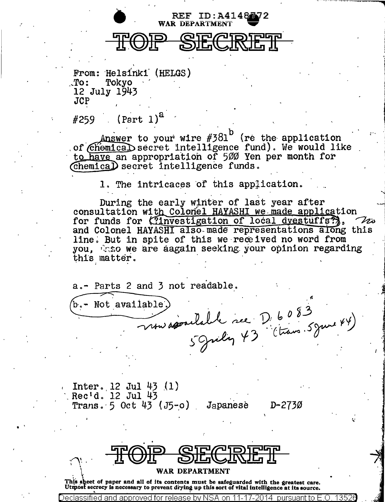

From: Helsinki (HELGS)  $.70:$ Tokvo 12 July 1943  $JCP$ 

 $(Part 1)<sup>2</sup>$ #259

Answer to your wire  $#381^D$  (re the application of Chemical secret intelligence fund). We would like to have an appropriation of 500 Yen per month for Chemical secret intelligence funds.

1. The intricaces of this application.

During the early winter of last year after consultation with Colonel HAYASHI we made application for funds for Cinvestigation of local dyestuffs?), Vis and Colonel HAYASHI also made representations along this line. But in spite of this we received no word from you, that we are aagain seeking your opinion regarding this matter.

a.- Parts 2 and 3 not readable.

Mot available. b. rou association rue D. 6083

Inter.  $12$  Jul 43  $(1)$ Rec'd. 12 Jul 43 Trans.  $5 \text{ Oct } 43 \text{ (J5-o)}$ Japanesè

D-273Ø



WAR DEPARTMENT

This sheet of paper and all of its contents must be safeguarded with the greatest care. Utmost secrecy is necessary to prevent drying up this sort of vital intelligence at its source.